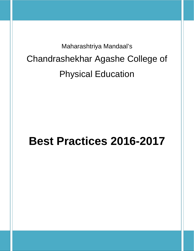Maharashtriya Mandaal's Chandrashekhar Agashe College of Physical Education

# **Best Practices 2016-2017**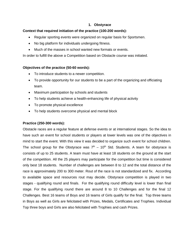# **1. Obstyrace**

#### **Context that required initiation of the practice (100-200 words):**

- Regular sporting events were organized on regular basis for Sportsmen.
- No big platform for individuals undergoing fitness.
- Much of the masses in school wanted new formats or events.

In order to fulfill the above a Competition based on Obstacle course was initiated.

# **Objectives of the practice (50-60 words):**

- To introduce students to a newer competition.
- To provide opportunity for our students to be a part of the organizing and officiating team.
- Maximum participation by schools and students
- To help students achieve a health-enhancing life of physical activity
- To promote physical excellence
- To help students overcome physical and mental block

# **Practice (250-300 words):**

Obstacle races are a regular feature at defense events or at international stages. So the idea to have such an event for school students or players at lower levels was one of the objectives in mind to start the event. With this view it was decided to organize such event for school children. The school group for the Obstyrace was  $7<sup>th</sup>$  – 10<sup>th</sup> Std. Students. A team for obstyrace is consists of up to 25 students. A team must have at least 18 students on the ground at the start of the competition. All the 25 players may participate for the competition but time is considered only best 18 students. Number of challenges are between 8 to 12 and the total distance of the race is approximately 200 to 300 meter. Rout of the race is not standardized and fix. According to available space and resources rout may decide. Obstyrace competition is played in two stages - qualifying round and finals. For the qualifying round difficulty level is lower than final stage. For the qualifying round there are around 8 to 10 Challenges and for the final 12 Challenges. Best 16 teams of Boys and 16 teams of Girls qualify for the final. Top three teams in Boys as well as Girls are felicitated with Prizes, Medals, Certificates and Trophies. Individual Top three boys and Girls are also felicitated with Trophies and cash Prizes.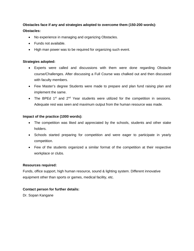# **Obstacles face if any and strategies adopted to overcome them (150-200 words): Obstacles:**

- No experience in managing and organizing Obstacles.
- Funds not available.
- High man power was to be required for organizing such event.

# **Strategies adopted:**

- Experts were called and discussions with them were done regarding Obstacle course/Challenges. After discussing a Full Course was chalked out and then discussed with faculty members.
- Few Master's degree Students were made to prepare and plan fund raising plan and implement the same.
- The BPEd 1<sup>st</sup> and 2<sup>nd</sup> Year students were utilized for the competition in sessions. Adequate rest was seen and maximum output from the human resource was made.

# **Impact of the practice (1000 words):**

- The competition was liked and appreciated by the schools, students and other stake holders.
- Schools started preparing for competition and were eager to participate in yearly competition.
- Few of the students organized a similar format of the competition at their respective workplace or clubs.

# **Resources required:**

Funds, office support, high human resource, sound & lighting system. Different innovative equipment other than sports or games, medical facility, etc.

# **Contact person for further details:**

Dr. Sopan Kangane